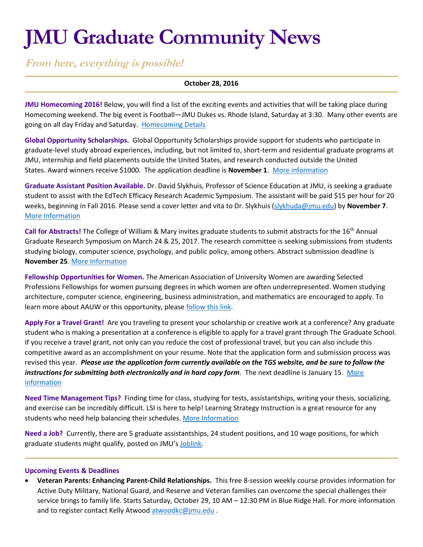# **JMU Graduate Community News**

**From here, everything is possible!**

## **October 28, 2016**

**JMU Homecoming 2016!** Below, you will find a list of the exciting events and activities that will be taking place during Homecoming weekend. The big event is Football—JMU Dukes vs. Rhode Island, Saturday at 3:30. Many other events are going on all day Friday and Saturday. [Homecoming Details](http://www.alumni.jmu.edu/s/1591/gid3-Alumni/social.aspx?sid=1591&gid=3&pgid=996&_ga=1.7079666.1541341566.1474982657)

**Global Opportunity Scholarships.** Global Opportunity Scholarships provide support for students who participate in graduate-level study abroad experiences, including, but not limited to, short-term and residential graduate programs at JMU, internship and field placements outside the United States, and research conducted outside the United States. Award winners receive \$1000. The application deadline is **November 1**. [More information](https://www.jmu.edu/grad/current-students/awards/global-opportunity-scholarship.shtml)

**Graduate Assistant Position Available.** Dr. David Slykhuis, Professor of Science Education at JMU, is seeking a graduate student to assist with the EdTech Efficacy Research Academic Symposium. The assistant will be paid \$15 per hour for 20 weeks, beginning in Fall 2016. Please send a cover letter and vita to Dr. Slykhuis [\(slykhuda@jmu.edu\)](mailto:slykhuda@jmu.edu) by **November 7**. [More Information](http://curry.virginia.edu/symposium/working-group-j/)

**Call for Abstracts!** The College of William & Mary invites graduate students to submit abstracts for the 16th Annual Graduate Research Symposium on March 24 & 25, 2017. The research committee is seeking submissions from students studying biology, computer science, psychology, and public policy, among others. Abstract submission deadline is **November 25**. [More Information](http://www.wm.edu/as/graduate/graduate-symposium/upcoming/index.php)

**Fellowship Opportunities for Women.** The American Association of University Women are awarding Selected Professions Fellowships for women pursuing degrees in which women are often underrepresented. Women studying architecture, computer science, engineering, business administration, and mathematics are encouraged to apply. To learn more about AAUW or this opportunity, please [follow this link.](http://www.aauw.org/what-we-do/educational-funding-and-awards/selected-professions-fellowships/)

**Apply For a Travel Grant!** Are you traveling to present your scholarship or creative work at a conference? Any graduate student who is making a presentation at a conference is eligible to apply for a travel grant through The Graduate School. If you receive a travel grant, not only can you reduce the cost of professional travel, but you can also include this competitive award as an accomplishment on your resume. Note that the application form and submission process was revised this year. *Please use the application form currently available on the TGS website, and be sure to follow the instructions for submitting both electronically and in hard copy form.* The next deadline is January 15. [More](http://www.jmu.edu/grad/current-students/awards/travel-grants.shtml)  [information](http://www.jmu.edu/grad/current-students/awards/travel-grants.shtml)

**Need Time Management Tips?** Finding time for class, studying for tests, assistantships, writing your thesis, socializing, and exercise can be incredibly difficult. LSI is here to help! Learning Strategy Instruction is a great resource for any students who need help balancing their schedules. [More Information](http://www.jmu.edu/lsi/)

**Need a Job?** Currently, there are 5 graduate assistantships, 24 student positions, and 10 wage positions, for which graduate students might qualify, posted on JMU's [Joblink.](https://joblink.jmu.edu/applicants/jsp/shared/frameset/Frameset.jsp?time=1472213991546)

### **Upcoming Events & Deadlines**

 **Veteran Parents: Enhancing Parent-Child Relationships.** This free 8-session weekly course provides information for Active Duty Military, National Guard, and Reserve and Veteran families can overcome the special challenges their service brings to family life. Starts Saturday, October 29, 10 AM – 12:30 PM in Blue Ridge Hall. For more information and to register contact Kelly Atwoo[d atwoodkc@jmu.edu](mailto:atwoodkc@jmu.edu).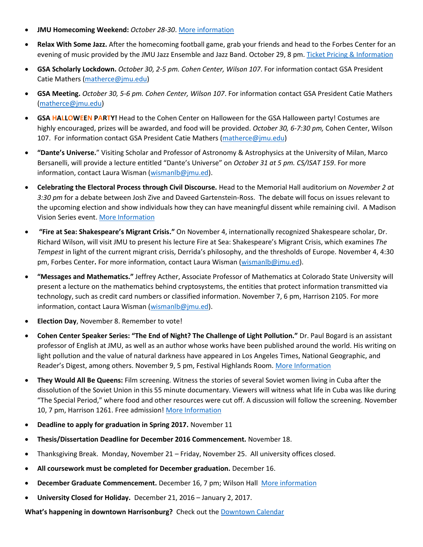- **JMU Homecoming Weekend:** *October 28-30*[. More information](http://www.alumni.jmu.edu/s/1591/gid3-Alumni/social.aspx?sid=1591&gid=3&pgid=996)
- **Relax With Some Jazz.** After the homecoming football game, grab your friends and head to the Forbes Center for an evening of music provided by the JMU Jazz Ensemble and Jazz Band. October 29, 8 pm. [Ticket Pricing & Information](http://www.jmu.edu/forbescenter/events/2016/10/29-jazz-ensemble-jazz-band.shtml)
- **GSA Scholarly Lockdown.** *October 30, 2-5 pm. Cohen Center, Wilson 107*. For information contact GSA President Catie Mathers [\(matherce@jmu.edu\)](mailto:matherce@jmu.edu)
- **GSA Meeting.** *October 30, 5-6 pm. Cohen Center, Wilson 107*. For information contact GSA President Catie Mathers [\(matherce@jmu.edu\)](mailto:matherce@jmu.edu)
- **GSA HALLOWEEN PARTY!** Head to the Cohen Center on Halloween for the GSA Halloween party! Costumes are highly encouraged, prizes will be awarded, and food will be provided. *October 30, 6-7:30 pm,* Cohen Center, Wilson 107. For information contact GSA President Catie Mathers [\(matherce@jmu.edu\)](mailto:matherce@jmu.edu)
- **"Dante's Universe.**" Visiting Scholar and Professor of Astronomy & Astrophysics at the University of Milan, Marco Bersanelli, will provide a lecture entitled "Dante's Universe" on *October 31 at 5 pm. CS/ISAT 159*. For more information, contact Laura Wisman [\(wismanlb@jmu.ed\)](mailto:wismanlb@jmu.ed).
- **Celebrating the Electoral Process through Civil Discourse.** Head to the Memorial Hall auditorium on *November 2 at 3:30 pm* for a debate between Josh Zive and Daveed Gartenstein-Ross. The debate will focus on issues relevant to the upcoming election and show individuals how they can have meaningful dissent while remaining civil. A Madison Vision Series event[. More Information](http://www.jmu.edu/events/president/2016/11/MVS-Debate.shtml)
- **"Fire at Sea: Shakespeare's Migrant Crisis."** On November 4, internationally recognized Shakespeare scholar, Dr. Richard Wilson, will visit JMU to present his lecture Fire at Sea: Shakespeare's Migrant Crisis, which examines *The Tempest* in light of the current migrant crisis, Derrida's philosophy, and the thresholds of Europe. November 4, 4:30 pm, Forbes Center**.** For more information, contact Laura Wisman [\(wismanlb@jmu.ed\)](mailto:wismanlb@jmu.ed).
- **"Messages and Mathematics."** Jeffrey Acther, Associate Professor of Mathematics at Colorado State University will present a lecture on the mathematics behind cryptosystems, the entities that protect information transmitted via technology, such as credit card numbers or classified information. November 7, 6 pm, Harrison 2105. For more information, contact Laura Wisman [\(wismanlb@jmu.ed\)](mailto:wismanlb@jmu.ed).
- **Election Day**, November 8. Remember to vote!
- **Cohen Center Speaker Series: "The End of Night? The Challenge of Light Pollution."** Dr. Paul Bogard is an assistant professor of English at JMU, as well as an author whose works have been published around the world. His writing on light pollution and the value of natural darkness have appeared in Los Angeles Times, National Geographic, and Reader's Digest, among others. November 9, 5 pm, Festival Highlands Room. [More Information](http://www.jmu.edu/stories/cohencenter/2016/11-9-bogard-bio.shtml)
- **They Would All Be Queens:** Film screening. Witness the stories of several Soviet women living in Cuba after the dissolution of the Soviet Union in this 55 minute documentary. Viewers will witness what life in Cuba was like during "The Special Period," where food and other resources were cut off. A discussion will follow the screening. November 10, 7 pm, Harrison 1261. Free admission! [More Information](http://www.jmu.edu/events/lacs/2016/11/10-they-would-all-be-queens.shtml)
- **Deadline to apply for graduation in Spring 2017.** November 11
- **Thesis/Dissertation Deadline for December 2016 Commencement.** November 18.
- Thanksgiving Break. Monday, November 21 Friday, November 25. All university offices closed.
- **All coursework must be completed for December graduation.** December 16.
- **December Graduate Commencement.** December 16, 7 pm; Wilson Hall [More information](https://www.jmu.edu/commencement/)
- **University Closed for Holiday.** December 21, 2016 January 2, 2017.

**What's happening in downtown Harrisonburg?** Check out th[e Downtown Calendar](http://downtownharrisonburg.org/downtown-calendar/)